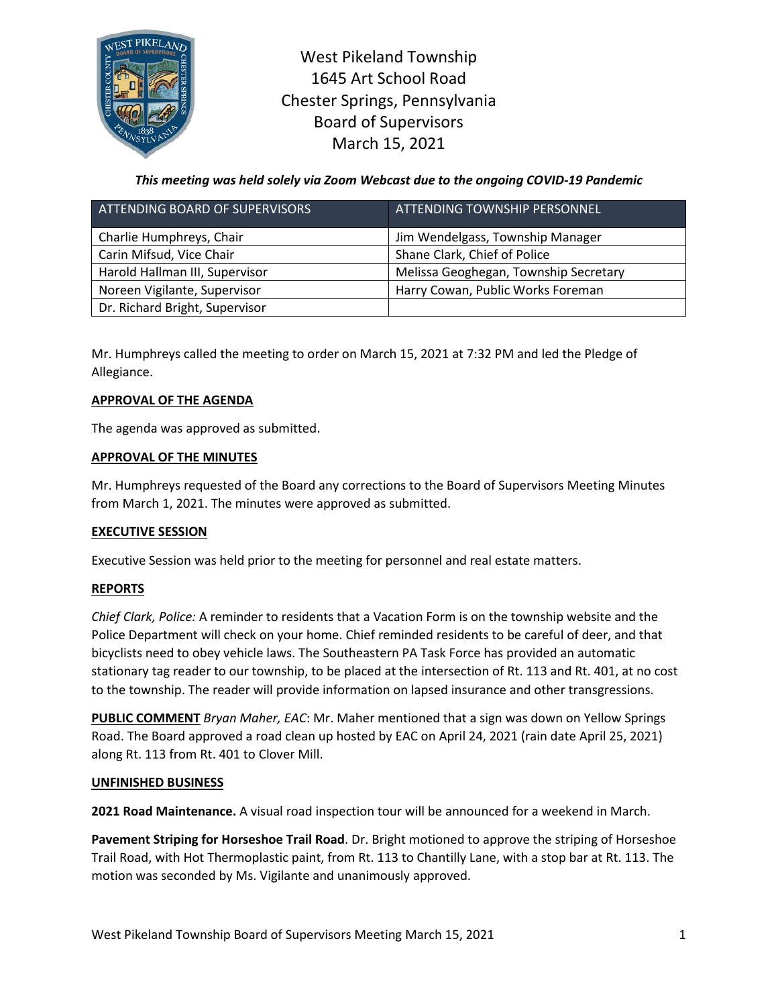

West Pikeland Township 1645 Art School Road Chester Springs, Pennsylvania Board of Supervisors March 15, 2021

*This meeting was held solely via Zoom Webcast due to the ongoing COVID-19 Pandemic*

| ATTENDING BOARD OF SUPERVISORS | ATTENDING TOWNSHIP PERSONNEL          |
|--------------------------------|---------------------------------------|
| Charlie Humphreys, Chair       | Jim Wendelgass, Township Manager      |
| Carin Mifsud, Vice Chair       | Shane Clark, Chief of Police          |
| Harold Hallman III, Supervisor | Melissa Geoghegan, Township Secretary |
| Noreen Vigilante, Supervisor   | Harry Cowan, Public Works Foreman     |
| Dr. Richard Bright, Supervisor |                                       |

Mr. Humphreys called the meeting to order on March 15, 2021 at 7:32 PM and led the Pledge of Allegiance.

## **APPROVAL OF THE AGENDA**

The agenda was approved as submitted.

### **APPROVAL OF THE MINUTES**

Mr. Humphreys requested of the Board any corrections to the Board of Supervisors Meeting Minutes from March 1, 2021. The minutes were approved as submitted.

## **EXECUTIVE SESSION**

Executive Session was held prior to the meeting for personnel and real estate matters.

## **REPORTS**

*Chief Clark, Police:* A reminder to residents that a Vacation Form is on the township website and the Police Department will check on your home. Chief reminded residents to be careful of deer, and that bicyclists need to obey vehicle laws. The Southeastern PA Task Force has provided an automatic stationary tag reader to our township, to be placed at the intersection of Rt. 113 and Rt. 401, at no cost to the township. The reader will provide information on lapsed insurance and other transgressions.

**PUBLIC COMMENT** *Bryan Maher, EAC*: Mr. Maher mentioned that a sign was down on Yellow Springs Road. The Board approved a road clean up hosted by EAC on April 24, 2021 (rain date April 25, 2021) along Rt. 113 from Rt. 401 to Clover Mill.

#### **UNFINISHED BUSINESS**

**2021 Road Maintenance.** A visual road inspection tour will be announced for a weekend in March.

**Pavement Striping for Horseshoe Trail Road**. Dr. Bright motioned to approve the striping of Horseshoe Trail Road, with Hot Thermoplastic paint, from Rt. 113 to Chantilly Lane, with a stop bar at Rt. 113. The motion was seconded by Ms. Vigilante and unanimously approved.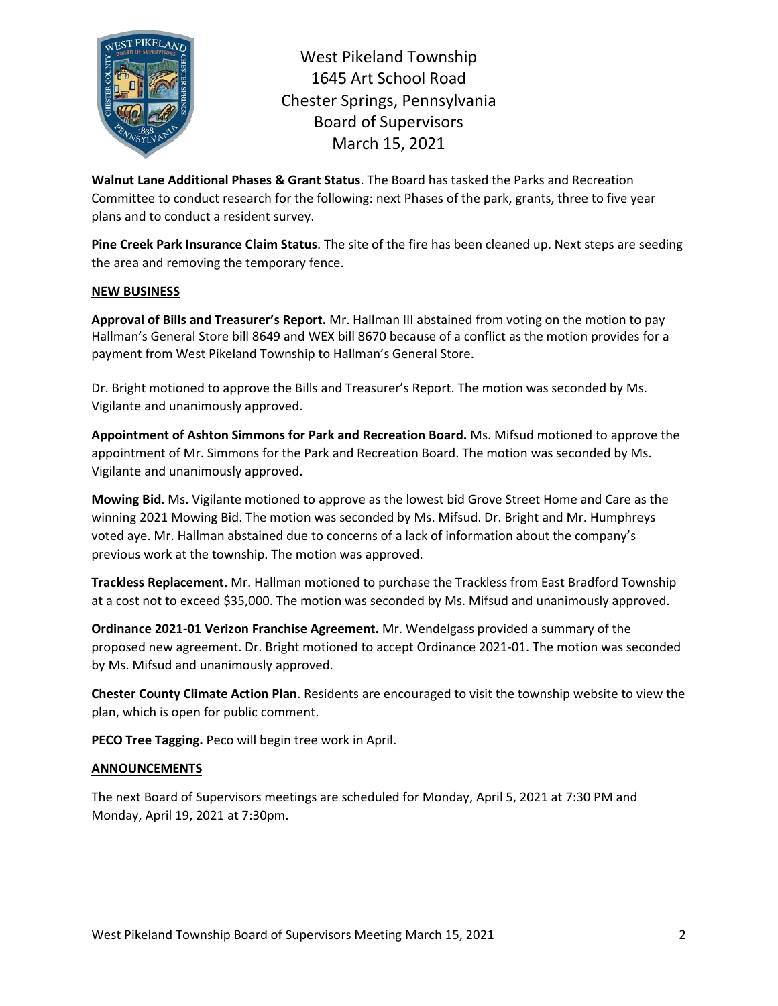

West Pikeland Township 1645 Art School Road Chester Springs, Pennsylvania Board of Supervisors March 15, 2021

**Walnut Lane Additional Phases & Grant Status**. The Board has tasked the Parks and Recreation Committee to conduct research for the following: next Phases of the park, grants, three to five year plans and to conduct a resident survey.

**Pine Creek Park Insurance Claim Status**. The site of the fire has been cleaned up. Next steps are seeding the area and removing the temporary fence.

# **NEW BUSINESS**

**Approval of Bills and Treasurer's Report.** Mr. Hallman III abstained from voting on the motion to pay Hallman's General Store bill 8649 and WEX bill 8670 because of a conflict as the motion provides for a payment from West Pikeland Township to Hallman's General Store.

Dr. Bright motioned to approve the Bills and Treasurer's Report. The motion was seconded by Ms. Vigilante and unanimously approved.

**Appointment of Ashton Simmons for Park and Recreation Board.** Ms. Mifsud motioned to approve the appointment of Mr. Simmons for the Park and Recreation Board. The motion was seconded by Ms. Vigilante and unanimously approved.

**Mowing Bid**. Ms. Vigilante motioned to approve as the lowest bid Grove Street Home and Care as the winning 2021 Mowing Bid. The motion was seconded by Ms. Mifsud. Dr. Bright and Mr. Humphreys voted aye. Mr. Hallman abstained due to concerns of a lack of information about the company's previous work at the township. The motion was approved.

**Trackless Replacement.** Mr. Hallman motioned to purchase the Trackless from East Bradford Township at a cost not to exceed \$35,000. The motion was seconded by Ms. Mifsud and unanimously approved.

**Ordinance 2021-01 Verizon Franchise Agreement.** Mr. Wendelgass provided a summary of the proposed new agreement. Dr. Bright motioned to accept Ordinance 2021-01. The motion was seconded by Ms. Mifsud and unanimously approved.

**Chester County Climate Action Plan**. Residents are encouraged to visit the township website to view the plan, which is open for public comment.

**PECO Tree Tagging.** Peco will begin tree work in April.

## **ANNOUNCEMENTS**

The next Board of Supervisors meetings are scheduled for Monday, April 5, 2021 at 7:30 PM and Monday, April 19, 2021 at 7:30pm.